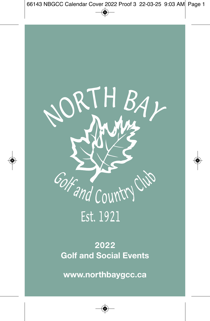

# **2022 Golf and Social Events**

**www.northbaygcc.ca**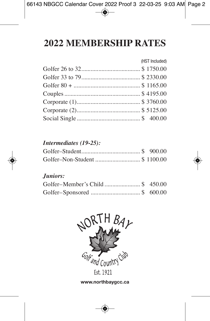# **2022 MeMbership rates**

| (HST Included) |
|----------------|
|                |
|                |
|                |
|                |
|                |
|                |
|                |

#### *Intermediates (19-25):*

| Golfer-Non-Student  \$ 1100.00 |  |
|--------------------------------|--|

#### *Juniors:*

| Golfer-Member's Child \$ 450.00 |  |
|---------------------------------|--|
|                                 |  |



**www.northbaygcc.ca**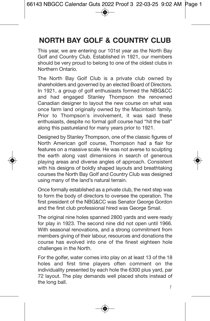# **NORTH BAY GOLF & COUNTRY CLUB**

This year, we are entering our 101st year as the North Bay Golf and Country Club. Established in 1921, our members should be very proud to belong to one of the oldest clubs in Northern Ontario.

The North Bay Golf Club is a private club owned by shareholders and governed by an elected Board of Directors. In 1921, a group of golf enthusiasts formed the NBG&CC and had engaged Stanley Thompson the renowned Canadian designer to layout the new course on what was once farm land originally owned by the Macintosh family. Prior to Thompson's involvement, it was said these enthusiasts, despite no formal golf course had "hit the ball" along this pastureland for many years prior to 1921.

Designed by Stanley Thompson, one of the classic figures of North American golf course, Thompson had a flair for features on a massive scale. He was not averse to sculpting the earth along vast dimensions in search of generous playing areas and diverse angles of approach. Consistent with his designs of boldly shaped layouts and breathtaking courses the North Bay Golf and Country Club was designed using many of the land's natural terrain.

Once formally established as a private club, the next step was to form the body of directors to oversee the operation. The first president of the NBG&CC was Senator George Gordon and the first club professional hired was George Smail.

The original nine holes spanned 2800 vards and were ready for play in 1923. The second nine did not open until 1966. With seasonal renovations, and a strong commitment from members giving of their labour, resources and donations the course has evolved into one of the finest eighteen hole challenges in the North.

For the golfer, water comes into play on at least 13 of the 18 holes and first time players often comment on the individuality presented by each hole the 6300 plus yard, par 72 layout. The play demands well placed shots instead of the long ball.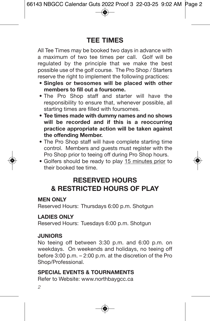## **TEE TIMES**

All Tee Times may be booked two days in advance with a maximum of two tee times per call. Golf will be regulated by the principle that we make the best possible use of the golf course. The Pro Shop / Starters reserve the right to implement the following practices:

- **Singles or twosomes will be placed with other members to fill out a foursome.**
- The Pro Shop staff and starter will have the responsibility to ensure that, whenever possible, all starting times are filled with foursomes.
- **Tee times made with dummy names and no shows will be recorded and if this is a reoccurring practice appropriate action will be taken against the offending Member.**
- The Pro Shop staff will have complete starting time control. Members and guests must register with the Pro Shop prior to teeing off during Pro Shop hours.
- Golfers should be ready to play 15 minutes prior to their booked tee time.

### **RESERVED HOURS & RESTRICTED HOURS OF PLAY**

#### **MEN ONLY**

Reserved Hours: Thursdays 6:00 p.m. Shotgun

#### **LADIES ONLY**

Reserved Hours: Tuesdays 6:00 p.m. Shotgun

#### **JUNIORS**

No teeing off between 3:30 p.m. and 6:00 p.m. on weekdays. On weekends and holidays, no teeing off before 3:00 p.m. – 2:00 p.m. at the discretion of the Pro Shop/Professional.

#### **SPECIAL EVENTS & TOURNAMENTS**

Refer to Website: www.northbaygcc.ca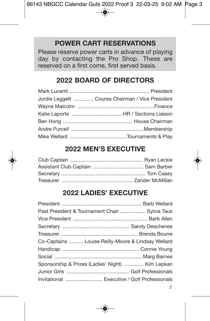### **POWER CART RESERVATIONS**

Please reserve power carts in advance of playing day by contacting the Pro Shop. These are reserved on a first come, first served basis.

#### **2022 BOARD OF DIRECTORS**

| Jordie Leggett  Course Chairman / Vice President |
|--------------------------------------------------|
|                                                  |
|                                                  |
|                                                  |
|                                                  |
|                                                  |

#### **2022 MEN'S EXECUTIVE**

#### **2022 LADIES' EXECUTIVE**

| Past President & Tournament Chair  Sylvia Taus     |
|----------------------------------------------------|
|                                                    |
|                                                    |
|                                                    |
| Co-Captains  Louise Reilly-Moore & Lindsay Wellard |
|                                                    |
|                                                    |
| Sponsorship & Prizes (Ladies' Night)  Kim Lepkan   |
|                                                    |
| Invitational  Executive / Golf Professionals       |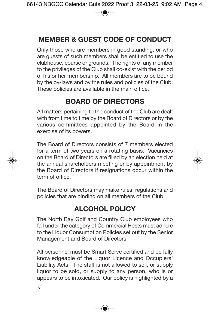# **MEMBER & GUEST CODE OF CONDUCT**

Only those who are members in good standing, or who are guests of such members shall be entitled to use the clubhouse, course or grounds. The rights of any member to the privileges of the Club shall co-exist with the period of his or her membership. All members are to be bound by the by-laws and by the rules and policies of the Club. These policies are available in the main office.

## **BOARD OF DIRECTORS**

All matters pertaining to the conduct of the Club are dealt with from time to time by the Board of Directors or by the various committees appointed by the Board in the exercise of its powers.

The Board of Directors consists of 7 members elected for a term of two years on a rotating basis. Vacancies on the Board of Directors are filled by an election held at the annual shareholders meeting or by appointment by the Board of Directors if resignations occur within the term of office.

The Board of Directors may make rules, regulations and policies that are binding on all members of the Club.

## **ALCOHOL POLICY**

The North Bay Golf and Country Club employees who fall under the category of Commercial Hosts must adhere to the Liquor Consumption Policies set out by the Senior Management and Board of Directors.

All personnel must be Smart Serve certified and be fully knowledgeable of the Liquor Licence and Occupiers' Liability Acts. The staff is not allowed to sell, or supply liquor to be sold, or supply to any person, who is or appears to be intoxicated. Our policy is highlighted by a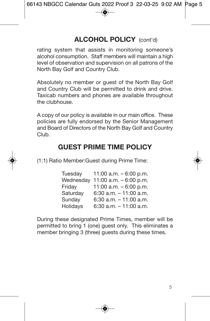## **ALCOHOL POLICY** (cont'd)

rating system that assists in monitoring someone's alcohol consumption. Staff members will maintain a high level of observation and supervision on all patrons of the North Bay Golf and Country Club.

Absolutely no member or guest of the North Bay Golf and Country Club will be permitted to drink and drive. Taxicab numbers and phones are available throughout the clubhouse.

A copy of our policy is available in our main office. These policies are fully endorsed by the Senior Management and Board of Directors of the North Bay Golf and Country Club.

## **GUEST PRIME TIME POLICY**

(1:1) Ratio Member:Guest during Prime Time:

| Tuesday   | 11:00 a.m. $-6:00$ p.m.   |
|-----------|---------------------------|
| Wednesday | 11:00 a.m. $-6:00$ p.m.   |
| Friday    | 11:00 a.m. $-6:00$ p.m.   |
| Saturday  | $6:30$ a.m. $-11:00$ a.m. |
| Sunday    | $6:30$ a.m. $-11:00$ a.m. |
| Holidays  | 6:30 a.m. $-11:00$ a.m.   |

During these designated Prime Times, member will be permitted to bring 1 (one) guest only. This eliminates a member bringing 3 (three) quests during these times.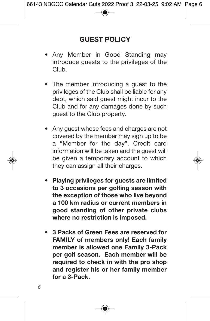- Any Member in Good Standing may introduce guests to the privileges of the Club.
- The member introducing a guest to the privileges of the Club shall be liable for any debt, which said guest might incur to the Club and for any damages done by such guest to the Club property.
- Any guest whose fees and charges are not covered by the member may sign up to be a "Member for the day". Credit card information will be taken and the guest will be given a temporary account to which they can assign all their charges.
- **Playing privileges for guests are limited to 3 occasions per golfing season with the exception of those who live beyond a 100 km radius or current members in good standing of other private clubs where no restriction is imposed.**
- **3 Packs of Green Fees are reserved for FAMILY of members only! Each family member is allowed one Family 3-Pack per golf season. Each member will be required to check in with the pro shop and register his or her family member for a 3-Pack.**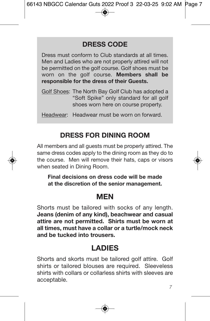### **DRESS CODE**

Dress must conform to Club standards at all times. Men and Ladies who are not properly attired will not be permitted on the golf course. Golf shoes must be worn on the golf course. **Members shall be responsible for the dress of their Guests.**

| Golf Shoes: The North Bay Golf Club has adopted a |
|---------------------------------------------------|
| "Soft Spike" only standard for all golf           |
| shoes worn here on course property.               |

Headwear: Headwear must be worn on forward.

## **DRESS FOR DINING ROOM**

All members and all guests must be properly attired. The same dress codes apply to the dining room as they do to the course. Men will remove their hats, caps or visors when seated in Dining Room.

**Final decisions on dress code will be made at the discretion of the senior management.**

## **MEN**

Shorts must be tailored with socks of any length. **Jeans (denim of any kind), beachwear and casual attire are not permitted. Shirts must be worn at all times, must have a collar or a turtle/mock neck and be tucked into trousers.**

# **LADIES**

Shorts and skorts must be tailored golf attire. Golf shirts or tailored blouses are required. Sleeveless shirts with collars or collarless shirts with sleeves are acceptable.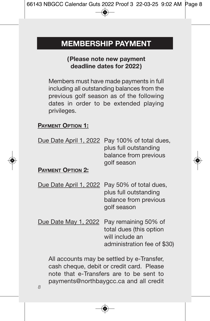# **MEMBERSHIP PAYMENT**

#### **(Please note new payment deadline dates for 2022)**

Members must have made payments in full including all outstanding balances from the previous golf season as of the following dates in order to be extended playing privileges.

#### **PAYMENT OPTION 1:**

| Due Date April 1, 2022   | Pay 100% of total dues,<br>plus full outstanding<br>balance from previous<br>golf season          |
|--------------------------|---------------------------------------------------------------------------------------------------|
| <b>PAYMENT OPTION 2:</b> |                                                                                                   |
| Due Date April 1, 2022   | Pay 50% of total dues,<br>plus full outstanding<br>balance from previous<br>golf season           |
| Due Date May 1, 2022     | Pay remaining 50% of<br>total dues (this option<br>will include an<br>administration fee of \$30) |

All accounts may be settled by e-Transfer, cash cheque, debit or credit card. Please note that e-Transfers are to be sent to payments@northbaygcc.ca and all credit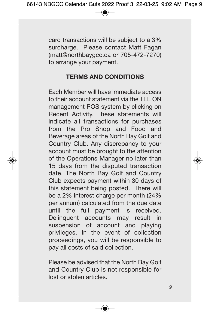card transactions will be subject to a 3% surcharge. Please contact Matt Fagan (matt@northbaygcc.ca or 705-472-7270) to arrange your payment.

#### **TERMS AND CONDITIONS**

Each Member will have immediate access to their account statement via the TEE ON management POS system by clicking on Recent Activity. These statements will indicate all transactions for purchases from the Pro Shop and Food and Beverage areas of the North Bay Golf and Country Club. Any discrepancy to your account must be brought to the attention of the Operations Manager no later than 15 days from the disputed transaction date. The North Bay Golf and Country Club expects payment within 30 days of this statement being posted. There will be a 2% interest charge per month (24% per annum) calculated from the due date until the full payment is received. Delinquent accounts may result in suspension of account and playing privileges. In the event of collection proceedings, you will be responsible to pay all costs of said collection.

Please be advised that the North Bay Golf and Country Club is not responsible for lost or stolen articles.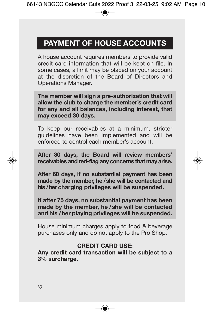# **PAYMENT OF HOUSE ACCOUNTS**

A house account requires members to provide valid credit card information that will be kept on file. In some cases, a limit may be placed on your account at the discretion of the Board of Directors and Operations Manager.

**The member will sign a pre-authorization that will allow the club to charge the member's credit card for any and all balances, including interest, that may exceed 30 days.**

To keep our receivables at a minimum, stricter guidelines have been implemented and will be enforced to control each member's account.

**After 30 days, the Board will review members' receivables and red-flag any concerns that may arise.**

**After 60 days, if no substantial payment has been made by the member, he /she will be contacted and his /her charging privileges will be suspended.**

**If after 75 days, no substantial payment has been made by the member, he /she will be contacted and his /her playing privileges will be suspended.**

House minimum charges apply to food & beverage purchases only and do not apply to the Pro Shop.

#### **CREDIT CARD USE:**

**Any credit card transaction will be subject to a 3% surcharge.**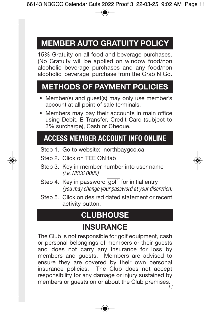# **MEMBER AUTO GRATUITY POLICY**

15% Gratuity on all food and beverage purchases. (No Gratuity will be applied on window food/non alcoholic beverage purchases and any food/non alcoholic beverage purchase from the Grab N Go.

# **METHODS OF PAYMENT POLICIES**

- Member(s) and guest(s) may only use member's account at all point of sale terminals.
- Members may pay their accounts in main office using Debit, E-Transfer, Credit Card (subject to 3% surcharge), Cash or Cheque.

# **ACCESS MEMBER ACCOUNT INFO ONLINE**

- Step 1. Go to website: northbaygcc.ca
- Step 2. Click on TEE ON tab
- Step 3. Key in member number into user name *(i.e. NBGC 0000)*
- Step 4. Key in password golf for initial entry *(you may change your password at your discretion)*
- Step 5. Click on desired dated statement or recent activity button.

# **CLUBHOUSE**

# **INSURANCE**

The Club is not responsible for golf equipment, cash or personal belongings of members or their guests and does not carry any insurance for loss by members and guests. Members are advised to ensure they are covered by their own personal insurance policies. The Club does not accept responsibility for any damage or injury sustained by members or guests on or about the Club premises.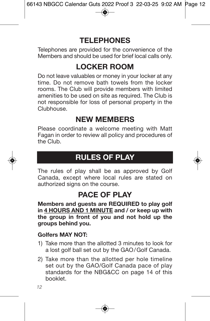# **TELEPHONES**

Telephones are provided for the convenience of the Members and should be used for brief local calls only.

# **LOCKER ROOM**

Do not leave valuables or money in your locker at any time. Do not remove bath towels from the locker rooms. The Club will provide members with limited amenities to be used on site as required. The Club is not responsible for loss of personal property in the Clubhouse.

## **NEW MEMBERS**

Please coordinate a welcome meeting with Matt Fagan in order to review all policy and procedures of the Club.

# **RULES OF PLAY**

The rules of play shall be as approved by Golf Canada, except where local rules are stated on authorized signs on the course.

## **PACE OF PLAY**

**Members and guests are REQUIRED to play golf in 4 HOURS AND 1 MINUTE and / or keep up with the group in front of you and not hold up the groups behind you.**

#### **Golfers MAY NOT:**

- 1) Take more than the allotted 3 minutes to look for a lost golf ball set out by the GAO/Golf Canada.
- 2) Take more than the allotted per hole timeline set out by the GAO/Golf Canada pace of play standards for the NBG&CC on page 14 of this booklet.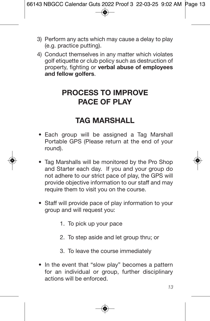- 3) Perform any acts which may cause a delay to play (e.g. practice putting).
- 4) Conduct themselves in any matter which violates golf etiquette or club policy such as destruction of property, fighting or **verbal abuse of employees and fellow golfers**.

## **PROCESS TO IMPROVE PACE OF PLAY**

## **TAG MARSHALL**

- Each group will be assigned a Tag Marshall Portable GPS (Please return at the end of your round).
- Tag Marshalls will be monitored by the Pro Shop and Starter each day. If you and your group do not adhere to our strict pace of play, the GPS will provide objective information to our staff and may require them to visit you on the course.
- Staff will provide pace of play information to your group and will request you:
	- 1. To pick up your pace
	- 2. To step aside and let group thru; or
	- 3. To leave the course immediately
- In the event that "slow play" becomes a pattern for an individual or group, further disciplinary actions will be enforced.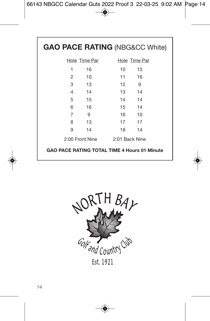| <b>GAO PACE RATING (NBG&amp;CC White)</b> |               |                                                     |  |  |  |
|-------------------------------------------|---------------|-----------------------------------------------------|--|--|--|
|                                           | Hole Time Par | Hole Time Par                                       |  |  |  |
| 1                                         | 16            | 10<br>13                                            |  |  |  |
| 2                                         | 10            | 11<br>16                                            |  |  |  |
| 3                                         | 13            | 12<br>9                                             |  |  |  |
| 4                                         | 14            | 14<br>13                                            |  |  |  |
| 5                                         | 15            | 14 14                                               |  |  |  |
| 6                                         | - 16          | 15 14                                               |  |  |  |
| 7                                         | 9             | 16<br>10                                            |  |  |  |
| 8                                         | 13            | 17<br>17                                            |  |  |  |
| 9                                         | 14            | 18<br>14                                            |  |  |  |
| 2:00 Front Nine                           |               | 2:01 Back Nine                                      |  |  |  |
|                                           |               | <b>GAO PACE RATING TOTAL TIME 4 Hours 01 Minute</b> |  |  |  |

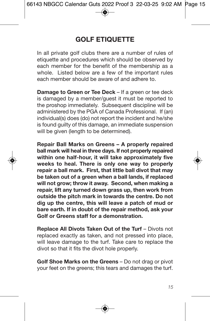## **GOLF ETIQUETTE**

In all private golf clubs there are a number of rules of etiquette and procedures which should be observed by each member for the benefit of the membership as a whole. Listed below are a few of the important rules each member should be aware of and adhere to.

**Damage to Green or Tee Deck** – If a green or tee deck is damaged by a member/guest it must be reported to the proshop immediately. Subsequent discipline will be administered by the PGA of Canada Professional. If (an) individual(s) does (do) not report the incident and he/she is found guilty of this damage, an immediate suspension will be given (length to be determined).

**Repair Ball Marks on Greens – A properly repaired ball mark will heal in three days. If not properly repaired within one half-hour, it will take approximately five weeks to heal. There is only one way to properly repair a ball mark. First, that little ball divot that may be taken out of a green when a ball lands, if replaced will not grow; throw it away. Second, when making a repair, lift any turned down grass up, then work from outside the pitch mark in towards the centre. Do not dig up the centre, this will leave a patch of mud or bare earth. If in doubt of the repair method, ask your Golf or Greens staff for a demonstration.**

**Replace All Divots Taken Out of the Turf** – Divots not replaced exactly as taken, and not pressed into place, will leave damage to the turf. Take care to replace the divot so that it fits the divot hole properly.

**Golf Shoe Marks on the Greens** – Do not drag or pivot your feet on the greens; this tears and damages the turf.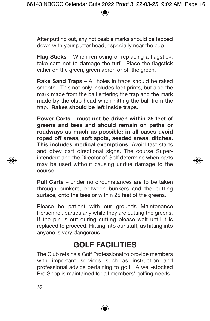After putting out, any noticeable marks should be tapped down with your putter head, especially near the cup.

**Flag Sticks** – When removing or replacing a flagstick, take care not to damage the turf. Place the flagstick either on the green, green apron or off the green.

**Rake Sand Traps** – All holes in traps should be raked smooth. This not only includes foot prints, but also the mark made from the ball entering the trap and the mark made by the club head when hitting the ball from the trap. **Rakes should be left inside traps.**

**Power Carts** – **must not be driven within 25 feet of greens and tees and should remain on paths or roadways as much as possible; in all cases avoid roped off areas, soft spots, seeded areas, ditches. This includes medical exemptions.** Avoid fast starts and obey cart directional signs. The course Superintendent and the Director of Golf determine when carts may be used without causing undue damage to the course.

**Pull Carts** – under no circumstances are to be taken through bunkers, between bunkers and the putting surface, onto the tees or within 25 feet of the greens.

Please be patient with our grounds Maintenance Personnel, particularly while they are cutting the greens. If the pin is out during cutting please wait until it is replaced to proceed. Hitting into our staff, as hitting into anyone is very dangerous.

## **GOLF FACILITIES**

The Club retains a Golf Professional to provide members with important services such as instruction and professional advice pertaining to golf. A well-stocked Pro Shop is maintained for all members' golfing needs.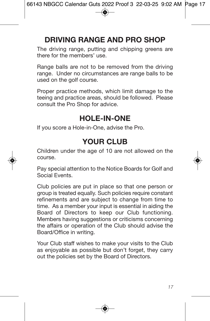# **DRIVING RANGE AND PRO SHOP**

The driving range, putting and chipping greens are there for the members' use.

Range balls are not to be removed from the driving range. Under no circumstances are range balls to be used on the golf course.

Proper practice methods, which limit damage to the teeing and practice areas, should be followed. Please consult the Pro Shop for advice.

## **HOLE-IN-ONE**

If you score a Hole-in-One, advise the Pro.

## **YOUR CLUB**

Children under the age of 10 are not allowed on the course.

Pay special attention to the Notice Boards for Golf and Social Events.

Club policies are put in place so that one person or group is treated equally. Such policies require constant refinements and are subject to change from time to time. As a member your input is essential in aiding the Board of Directors to keep our Club functioning. Members having suggestions or criticisms concerning the affairs or operation of the Club should advise the Board/Office in writing.

Your Club staff wishes to make your visits to the Club as enjoyable as possible but don't forget, they carry out the policies set by the Board of Directors.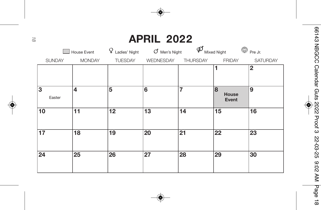# **APRIL 2022**

|                 | House Event   | Q<br>Ladies' Night | $\sigma$ Men's Night | Φ               | G<br>Mixed Night    | Pre Jr.         |
|-----------------|---------------|--------------------|----------------------|-----------------|---------------------|-----------------|
| <b>SUNDAY</b>   | <b>MONDAY</b> | <b>TUESDAY</b>     | WEDNESDAY            | <b>THURSDAY</b> | <b>FRIDAY</b>       | <b>SATURDAY</b> |
|                 |               |                    |                      |                 | 1                   | $\mathbf{2}$    |
| 3<br>Easter     | 4             | 5                  | 6                    | 7               | 8<br>House<br>Event | 9               |
| 10              | 11            | 12                 | 13                   | 14              | 15                  | 16              |
| $\overline{17}$ | 18            | 19                 | 20                   | 21              | 22                  | 23              |
| 24              | 25            | 26                 | 27                   | 28              | 29                  | 30              |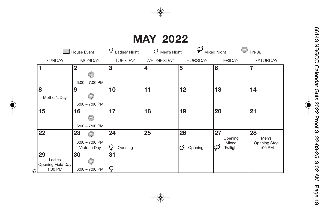# **MAY 2022**

|                                              | <b>House Event</b>                          | Ladies' Night      | Ο<br>Men's Night | ൕ                  | ٥<br><b>Mixed Night</b>                 | Pre Jr.                                |
|----------------------------------------------|---------------------------------------------|--------------------|------------------|--------------------|-----------------------------------------|----------------------------------------|
| <b>SUNDAY</b>                                | <b>MONDAY</b>                               | <b>TUESDAY</b>     | WEDNESDAY        | <b>THURSDAY</b>    | <b>FRIDAY</b>                           | <b>SATURDAY</b>                        |
| 1                                            | $\overline{2}$<br>G<br>$6:00 - 7:00$ PM     | 3                  | 4                | 5                  | 6                                       | 7                                      |
| 8<br>Mother's Day                            | 9<br>⊜<br>$6:00 - 7:00$ PM                  | 10                 | 11               | 12                 | 13                                      | 14                                     |
| 15                                           | 16<br>۳<br>$6:00 - 7:00$ PM                 | 17                 | 18               | 19                 | 20                                      | 21                                     |
| 22                                           | 23<br>۳<br>$6:00 - 7:00$ PM<br>Victoria Day | 24<br>¥<br>Opening | 25               | 26<br>Opening<br>O | 27<br>Opening<br>Mixed<br>Φ<br>Twilight | 28<br>Men's<br>Opening Stag<br>1:00 PM |
| 29<br>Ladies<br>Opening Field Day<br>1:00 PM | 30<br>۳<br>$6:00 - 7:00$ PM                 | 31<br>Q            |                  |                    |                                         |                                        |

*1 9*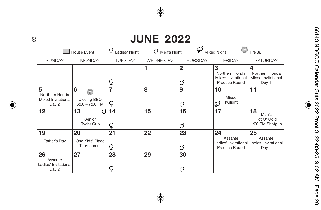# **JUNE 2022**

|                                                    | House Event                                              | Ladies' Night  | Men's Night | ര                 | <b>Mixed Night</b>                                                 | Pre Jr.                                                             |
|----------------------------------------------------|----------------------------------------------------------|----------------|-------------|-------------------|--------------------------------------------------------------------|---------------------------------------------------------------------|
| <b>SUNDAY</b>                                      | <b>MONDAY</b>                                            | <b>TUESDAY</b> | WEDNESDAY   | <b>THURSDAY</b>   | <b>FRIDAY</b>                                                      | <b>SATURDAY</b>                                                     |
|                                                    |                                                          | Q              |             | $\mathbf{2}$<br>O | 3<br>Northern Honda<br>Mixed Invitational<br><b>Practice Round</b> | 4<br>Northern Honda<br>Mixed Invitational<br>Day 1                  |
| 5<br>Northern Honda<br>Mixed Invitational<br>Day 2 | 6<br>$\sum_{i=1}^{N}$<br>Closing BBQ<br>$6:00 - 7:00$ PM | 7<br>Q         | 8           | 9<br>d            | 10<br>Mixed<br>Twilight<br>Φ                                       | 11                                                                  |
| 12                                                 | 13<br>Ω<br>Senior<br><b>Ryder Cup</b>                    | 14<br>Q        | 15          | 16<br>d           | 17                                                                 | 18<br>Men's<br>Pot O' Gold<br>1:00 PM Shotqun                       |
| 19<br>Father's Day                                 | 20<br>One Kids' Place<br>Tournament                      | 21<br>Q        | 22          | 23<br>Ø           | 24<br>Assante<br><b>Practice Round</b>                             | 25<br>Assante<br>Ladies' Invitational Ladies' Invitational<br>Day 1 |
| 26<br>Assante<br>Ladies' Invitational<br>Day 2     | 27                                                       | 28<br>Q        | 29          | 30<br>റ           |                                                                    |                                                                     |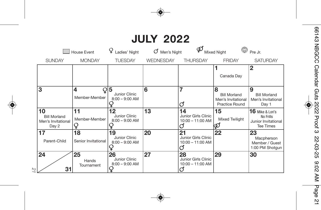# **JULY 2022**

|                                                          | House Event               | Ladies' Night                           | Men's Night      | ₽                                                    | <b>Mixed Night</b>                                                      | Pre Jr.                                                                    |
|----------------------------------------------------------|---------------------------|-----------------------------------------|------------------|------------------------------------------------------|-------------------------------------------------------------------------|----------------------------------------------------------------------------|
| <b>SUNDAY</b>                                            | <b>MONDAY</b>             | <b>TUESDAY</b>                          | <b>WEDNESDAY</b> | <b>THURSDAY</b>                                      | <b>FRIDAY</b>                                                           | <b>SATURDAY</b>                                                            |
|                                                          |                           |                                         |                  |                                                      | Canada Day                                                              | $\mathbf{2}$                                                               |
| 3                                                        | 4<br>Q<br>Member-Member   | 5<br>Junior Clinic<br>$8:00 - 9:00$ AM  | 6                | 7<br>Ø                                               | 8<br><b>Bill Morland</b><br>Men's Invitational<br><b>Practice Round</b> | 9<br><b>Bill Morland</b><br>Men's Invitational<br>Day 1                    |
| 10<br><b>Bill Morland</b><br>Men's Invitational<br>Day 2 | 11<br>Member-Member<br>Q  | 12<br>Junior Clinic<br>$8:00 - 9:00$ AM | 13               | 14<br>Junior Girls Clinic<br>10:00 - 11:00 AM<br>O   | 15<br><b>Mixed Twilight</b><br>φ                                        | $16$ Mike & Lori's<br>No Frills<br>Junior Invitational<br><b>Tee Times</b> |
| 17<br>Parent-Child                                       | 18<br>Senior Invitational | 19<br>Junior Clinic<br>$8:00 - 9:00$ AM | 20               | 21<br>Junior Girls Clinic<br>$10:00 - 11:00$ AM<br>റ | 22                                                                      | 23<br>Macpherson<br>Member / Guest<br>1:00 PM Shotqun                      |
| 24<br>31<br>21                                           | 25<br>Hands<br>Tournament | 26<br>Junior Clinic<br>$8:00 - 9:00$ AM | 27               | 28<br>Junior Girls Clinic<br>$10:00 - 11:00$ AM<br>O | 29                                                                      | 30                                                                         |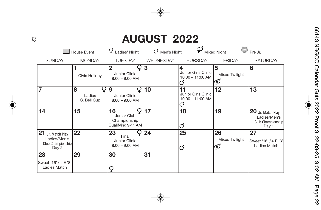# **AUGUST 2022**

|                                                                    | <b>House Event</b>              | Ladies' Night                                           | Men's Night      | ര                                                   | Mixed Night               | Pre Jr.                                                         |
|--------------------------------------------------------------------|---------------------------------|---------------------------------------------------------|------------------|-----------------------------------------------------|---------------------------|-----------------------------------------------------------------|
| <b>SUNDAY</b>                                                      | <b>MONDAY</b>                   | <b>TUESDAY</b>                                          | <b>WEDNESDAY</b> | <b>THURSDAY</b>                                     | <b>FRIDAY</b>             | <b>SATURDAY</b>                                                 |
|                                                                    | Civic Holiday                   | $\mathbf{2}$<br>Junior Clinic<br>$8:00 - 9:00$ AM       | 3                | 4<br>Junior Girls Clinic<br>$10:00 - 11:00$ AM<br>∩ | 5<br>Mixed Twilight<br>φ  | 6                                                               |
| 7                                                                  | 8<br>Q<br>Ladies<br>C. Bell Cup | 9<br>Q.<br>Junior Clinic<br>$8:00 - 9:00$ AM            | 10               | Junior Girls Clinic<br>$10:00 - 11:00$ AM<br>Ο      | 12                        | 13                                                              |
| 14                                                                 | 15                              | 16<br>Junior Club<br>Championship<br>Qualifying 9-11 AM | 17               | 18<br>O                                             | 19                        | 20 Jr. Match Play<br>Ladies/Men's<br>Club Championship<br>Day 1 |
| 21<br>Jr. Match Plav<br>Ladies/Men's<br>Club Championship<br>Day 2 | 22                              | 23<br>Final<br>Junior Clinic<br>$8:00 - 9:00$ AM        | 24               | 25<br>đ                                             | 26<br>Mixed Twilight<br>φ | 27<br>Sweet '16' / + E '8'<br>Ladies Match                      |
| 28<br>Sweet '16' / + E '8'<br>Ladies Match                         | 29                              | 30<br>Q                                                 | 31               |                                                     |                           |                                                                 |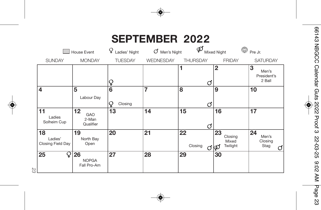# **SEPTEMBER 2022**

|                                    | <b>House Event</b>                | Q<br>Ladies' Night | σ<br>Men's Night | φ                  | $\mathbb{G}$<br><b>Mixed Night</b>      | Pre Jr.                             |
|------------------------------------|-----------------------------------|--------------------|------------------|--------------------|-----------------------------------------|-------------------------------------|
| <b>SUNDAY</b>                      | <b>MONDAY</b>                     | <b>TUESDAY</b>     | WEDNESDAY        | <b>THURSDAY</b>    | <b>FRIDAY</b>                           | <b>SATURDAY</b>                     |
|                                    |                                   | Q                  |                  | 1<br>đ             | $\overline{2}$                          | 3<br>Men's<br>President's<br>2 Ball |
| 4                                  | 5<br>Labour Day                   | 6<br>Closing<br>Q  | 7                | 8<br>đ             | 9                                       | 10                                  |
| 11<br>Ladies<br>Solheim Cup        | 12<br>GAO<br>2-Man<br>Qualifier   | 13                 | 14               | 15<br>đ            | 16                                      | 17                                  |
| 18<br>Ladies'<br>Closing Field Day | 19<br>North Bay<br>Open           | 20                 | 21               | 22<br>Closing<br>റ | 23<br>Closing<br>Mixed<br>Twilight<br>φ | 24<br>Men's<br>Closing<br>Stag<br>റ |
| 25<br>Ų                            | 26<br><b>NOPGA</b><br>Fall Pro-Am | 27                 | 28               | 29                 | 30                                      |                                     |

*2 3*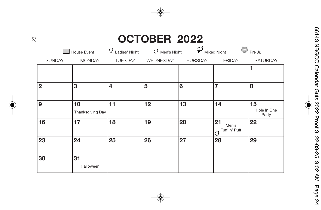# **OCTOBER 2022**

|               | House Event            | Q<br>Ladies' Night      | O Men's Night | $\varphi$       | G<br>Mixed Night                         | Pre Jr.                    |
|---------------|------------------------|-------------------------|---------------|-----------------|------------------------------------------|----------------------------|
| <b>SUNDAY</b> | <b>MONDAY</b>          | <b>TUESDAY</b>          | WEDNESDAY     | <b>THURSDAY</b> | <b>FRIDAY</b>                            | <b>SATURDAY</b>            |
|               |                        |                         |               |                 |                                          | 1                          |
| 2             | 3                      | $\overline{\mathbf{4}}$ | 5             | 6               | 7                                        | 8                          |
| و             | 10<br>Thanksgiving Day | 11                      | 12            | 13              | 14                                       | 15<br>Hole In One<br>Party |
| 16            | 17                     | 18                      | 19            | 20              | 21<br>Men's<br>Tuff 'n' Puff<br>$\sigma$ | 22                         |
| 23            | 24                     | 25                      | 26            | 27              | 28                                       | 29                         |
| 30            | 31<br>Halloween        |                         |               |                 |                                          |                            |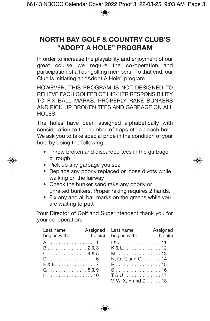## **NORTH BAY GOLF & COUNTRY CLUB'S "ADOPT A HOLE" PROGRAM**

In order to increase the playability and enjoyment of our great course we require the co-operation and participation of all our golfing members. To that end, our Club is initiating an "Adopt A Hole" program.

HOWEVER, THIS PROGRAM IS NOT DESIGNED TO RELIEVE EACH GOLFER OF HIS/HER RESPONSIBILITY TO FIX BALL MARKS, PROPERLY RAKE BUNKERS AND PICK UP BROKEN TEES AND GARBAGE ON ALL HOLES.

The holes have been assigned alphabetically with consideration to the number of traps etc on each hole. We ask you to take special pride in the condition of your hole by doing the following:

- Throw broken and discarded tees in the garbage or rough
- Pick up any garbage you see
- Replace any poorly replaced or loose divots while walking on the fairway
- Check the bunker sand rake any poorly or unraked bunkers. Proper raking requires 2 hands.
- Fix any and all ball marks on the greens while you are waiting to putt

Your Director of Golf and Superintendent thank you for your co-operation.

| Last name<br>begins with: | hole(s) | Assigned Last name<br>begins with: | Assigned<br>hole(s) |
|---------------------------|---------|------------------------------------|---------------------|
|                           |         | 1&J 11                             |                     |
| $B$ 2&3                   |         | K&L12                              |                     |
| $C$ 4&5                   |         | M 13                               |                     |
| $D$ 6                     |         | N, O, P, and Q $$ 14               |                     |
|                           |         | R. 15                              |                     |
| G8&9                      |         | $S$ 16                             |                     |
| H10                       |         | T&U 17                             |                     |
|                           |         | V. W. X. Y and Z  18               |                     |